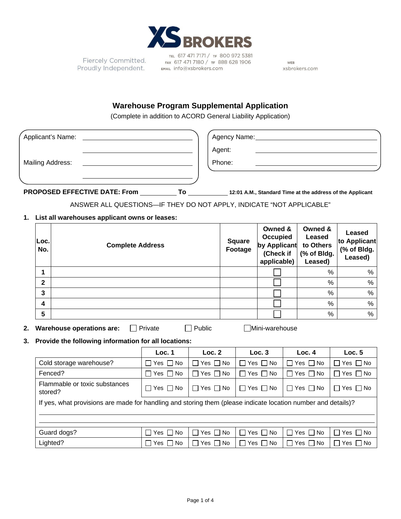

Fiercely Committed. Proudly Independent.

TEL 617 471 7171 / TF 800 972 5381<br>FAX 617 471 7180 / TF 888 628 1906 EMAIL info@xsbrokers.com

WEB xsbrokers.com

## **Warehouse Program Supplemental Application**

(Complete in addition to ACORD General Liability Application)

| Applicant's Name:                                                                                                                                     |                                          |                                                                                                                     |                      |                      |                                                                                             |        |                                                          |   | Agency Name: Name: Name and Agency Name and Agency Name and Agency Name and Agency Name and Agency Name and Agency Name and Agency Name and Agency Name and Agency Name and Agency Name and Agency Name and Agency Name and Ag |                                                  |                            |
|-------------------------------------------------------------------------------------------------------------------------------------------------------|------------------------------------------|---------------------------------------------------------------------------------------------------------------------|----------------------|----------------------|---------------------------------------------------------------------------------------------|--------|----------------------------------------------------------|---|--------------------------------------------------------------------------------------------------------------------------------------------------------------------------------------------------------------------------------|--------------------------------------------------|----------------------------|
|                                                                                                                                                       |                                          |                                                                                                                     |                      |                      | Agent:                                                                                      |        |                                                          |   |                                                                                                                                                                                                                                |                                                  |                            |
|                                                                                                                                                       |                                          | Mailing Address:                                                                                                    |                      |                      | Phone:                                                                                      |        |                                                          |   |                                                                                                                                                                                                                                |                                                  |                            |
|                                                                                                                                                       |                                          |                                                                                                                     |                      |                      |                                                                                             |        |                                                          |   |                                                                                                                                                                                                                                |                                                  |                            |
|                                                                                                                                                       |                                          |                                                                                                                     |                      |                      |                                                                                             |        |                                                          |   |                                                                                                                                                                                                                                |                                                  |                            |
|                                                                                                                                                       |                                          | PROPOSED EFFECTIVE DATE: From _____________To ____________12:01 A.M., Standard Time at the address of the Applicant |                      |                      |                                                                                             |        |                                                          |   |                                                                                                                                                                                                                                |                                                  |                            |
|                                                                                                                                                       |                                          | ANSWER ALL QUESTIONS-IF THEY DO NOT APPLY, INDICATE "NOT APPLICABLE"                                                |                      |                      |                                                                                             |        |                                                          |   |                                                                                                                                                                                                                                |                                                  |                            |
|                                                                                                                                                       |                                          | 1. List all warehouses applicant owns or leases:                                                                    |                      |                      |                                                                                             |        |                                                          |   |                                                                                                                                                                                                                                |                                                  |                            |
|                                                                                                                                                       | Loc.<br><b>Complete Address</b><br>No.   |                                                                                                                     |                      |                      | Owned &<br>Occupied<br><b>Square</b><br>by Applicant<br>Footage<br>(Check if<br>applicable) |        | Owned &<br>Leased<br>to Others<br>(% of Bldg.<br>Leased) |   |                                                                                                                                                                                                                                | Leased<br>to Applicant<br>(% of Bldg.<br>Leased) |                            |
|                                                                                                                                                       | 1                                        |                                                                                                                     |                      |                      |                                                                                             |        |                                                          |   |                                                                                                                                                                                                                                | ℅                                                | %                          |
|                                                                                                                                                       | $\mathbf{2}$                             |                                                                                                                     |                      |                      |                                                                                             |        |                                                          |   |                                                                                                                                                                                                                                | %                                                | %                          |
|                                                                                                                                                       | 3                                        |                                                                                                                     |                      |                      |                                                                                             |        |                                                          |   |                                                                                                                                                                                                                                | $\%$                                             | %                          |
|                                                                                                                                                       | 4                                        |                                                                                                                     |                      |                      |                                                                                             |        |                                                          |   |                                                                                                                                                                                                                                | $\%$                                             | $\%$                       |
|                                                                                                                                                       | 5                                        |                                                                                                                     |                      |                      |                                                                                             |        |                                                          |   |                                                                                                                                                                                                                                | %                                                | %                          |
| <b>Warehouse operations are:</b><br>$\Box$ Public<br>□Mini-warehouse<br>2.<br>  Private<br>Provide the following information for all locations:<br>3. |                                          |                                                                                                                     |                      |                      |                                                                                             |        |                                                          |   |                                                                                                                                                                                                                                |                                                  |                            |
|                                                                                                                                                       |                                          |                                                                                                                     | Loc. 1               | Loc. 2               |                                                                                             |        | Loc.3                                                    |   | Loc.4                                                                                                                                                                                                                          | Loc.5                                            |                            |
|                                                                                                                                                       |                                          | Cold storage warehouse?                                                                                             | $\Box$ Yes $\Box$ No | $\Box$ Yes $\Box$ No |                                                                                             | $\Box$ | Yes $\Box$ No<br>$\Box$ Yes $\Box$ No                    |   |                                                                                                                                                                                                                                | Yes $\Box$ No                                    |                            |
|                                                                                                                                                       |                                          | Fenced?                                                                                                             | $\Box$ Yes $\Box$ No | $\Box$ Yes $\Box$ No |                                                                                             |        | $\Box$ Yes $\Box$ No                                     |   | $\Box$ Yes $\Box$ No                                                                                                                                                                                                           |                                                  | $\Box$ Yes $\Box$ No       |
|                                                                                                                                                       | Flammable or toxic substances<br>stored? |                                                                                                                     | $\Box$ Yes $\Box$ No |                      | $\Box$ Yes $\Box$ No                                                                        |        | $\Box$ Yes $\Box$ No                                     |   | $\Box$ Yes $\Box$ No                                                                                                                                                                                                           |                                                  | $\Box$ Yes $\Box$ No       |
|                                                                                                                                                       |                                          | If yes, what provisions are made for handling and storing them (please indicate location number and details)?       |                      |                      |                                                                                             |        |                                                          |   |                                                                                                                                                                                                                                |                                                  |                            |
|                                                                                                                                                       |                                          | Guard dogs?                                                                                                         | □ Yes □ No           | Yes $\Box$ No        |                                                                                             | П      | Yes $\Box$ No                                            | П | Yes I<br>∩ No                                                                                                                                                                                                                  |                                                  | Yes $  \,  $<br><b>No</b>  |
|                                                                                                                                                       |                                          | Lighted?                                                                                                            | $\Box$ Yes $\Box$ No | $\Box$ Yes $\Box$ No |                                                                                             |        | $\Box$ Yes $\Box$ No                                     |   | $\Box$ Yes $\Box$ No                                                                                                                                                                                                           |                                                  | $\square$ Yes $\square$ No |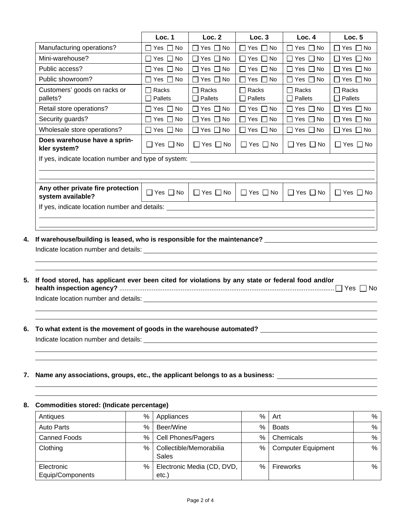|                                                        | Loc. 1                           | Loc. 2                         | Loc.3                          | Loc.4                        | Loc.5                   |  |
|--------------------------------------------------------|----------------------------------|--------------------------------|--------------------------------|------------------------------|-------------------------|--|
| Manufacturing operations?                              | Yes $\Box$ No                    | Yes $\Box$ No<br>$\Box$        | Yes $\Box$ No<br>$\mathsf{L}$  | Yes $\Box$ No<br>$\Box$      | $\Box$ Yes $\Box$ No    |  |
| Mini-warehouse?                                        | $\Box$ Yes $\Box$ No             | Yes $\Box$ No<br>$\Box$        | Yes $\Box$ No<br>П             | Yes $\Box$ No<br>П           | $\Box$ Yes $\Box$ No    |  |
| Public access?                                         | Yes $\Box$ No<br>$\mathsf{L}$    | $\Box$ Yes $\Box$ No           | Yes $\Box$ No<br>П             | П<br>Yes $\Box$ No           | $\Box$ Yes $\Box$ No    |  |
| Public showroom?                                       | $\Box$ Yes $\Box$ No             | $\Box$ Yes $\Box$ No           | Yes $\Box$ No<br>$\mathsf{L}$  | Yes $\Box$ No<br>П           | $\Box$ Yes $\Box$ No    |  |
| Customers' goods on racks or<br>pallets?               | <b>□ Racks</b><br>$\Box$ Pallets | $\Box$ Racks<br>$\Box$ Pallets | $\Box$ Racks<br>$\Box$ Pallets | Racks<br>П<br>$\Box$ Pallets | $\Box$ Racks<br>Pallets |  |
| Retail store operations?                               | $\Box$ Yes $\Box$ No             | $\Box$ Yes $\Box$ No           | $\Box$ Yes $\Box$ No           | Yes    No                    | Yes    No               |  |
| Security guards?                                       | $\Box$ Yes $\Box$ No             | $\Box$ Yes $\Box$ No           | $\Box$ Yes $\Box$ No           | $\Box$ Yes $\Box$ No         | ∏ Yes ∏ No              |  |
| Wholesale store operations?                            | $\Box$ Yes $\Box$ No             | $\Box$ Yes $\Box$ No           | $\Box$ Yes $\Box$ No           | ∏ Yes ∏ No                   | ∏ Yes ∏ No              |  |
| Does warehouse have a sprin-<br>kler system?           | $\Box$ Yes $\Box$ No             | Yes $\Box$ No<br>$\perp$       | Yes $\Box$ No<br>$\Box$        | $\Box$ Yes $\Box$ No         | l IYes IINo             |  |
| If yes, indicate location number and type of system:   |                                  |                                |                                |                              |                         |  |
|                                                        |                                  |                                |                                |                              |                         |  |
|                                                        |                                  |                                |                                |                              |                         |  |
| Any other private fire protection<br>system available? | $\Box$ Yes $\Box$ No             | $\Box$ Yes $\Box$ No           | $\Box$ Yes $\Box$ No           | $\Box$ Yes $\Box$ No         | $\Box$ Yes $\Box$ No    |  |
| If yes, indicate location number and details:          |                                  |                                |                                |                              |                         |  |
|                                                        |                                  |                                |                                |                              |                         |  |
|                                                        |                                  |                                |                                |                              |                         |  |

**4. If warehouse/building is leased, who is responsible for the maintenance?**

Indicate location number and details: **contained a set of the set of the set of the set of the set of the set of the set of the set of the set of the set of the set of the set of the set of the set of the set of the set of** 

- **5. If food stored, has applicant ever been cited for violations by any state or federal food and/or health inspection agency?** ....................................................................................................................... Yes No Indicate location number and details: **Indicate location**
- **6. To what extent is the movement of goods in the warehouse automated?**  Indicate location number and details:
- **7. Name any associations, groups, etc., the applicant belongs to as a business:**

| Antiques                       | % | Appliances                          | %    | Art                       | $\%$          |  |  |
|--------------------------------|---|-------------------------------------|------|---------------------------|---------------|--|--|
| <b>Auto Parts</b>              | % | Beer/Wine                           | %    | Boats                     | $\%$          |  |  |
| <b>Canned Foods</b>            | % | <b>Cell Phones/Pagers</b>           | $\%$ | Chemicals                 | $\%$          |  |  |
| Clothing                       | % | Collectible/Memorabilia<br>Sales    | %    | <b>Computer Equipment</b> | $\frac{0}{0}$ |  |  |
| Electronic<br>Equip/Components | % | Electronic Media (CD, DVD,<br>etc.) | %    | Fireworks                 | %             |  |  |

## **8. Commodities stored: (Indicate percentage)**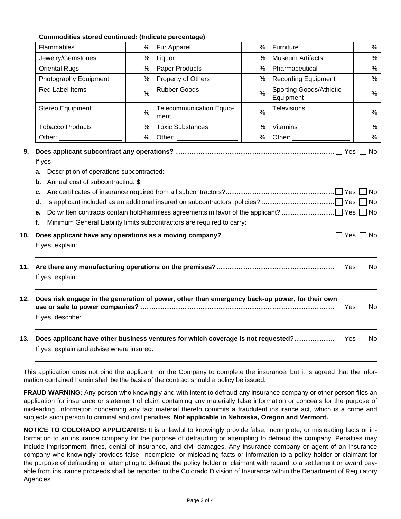| Commodities stored continued: (Indicate percentage) |  |  |
|-----------------------------------------------------|--|--|
|-----------------------------------------------------|--|--|

| %<br>%<br>$\%$<br>%<br>$\frac{0}{0}$<br>$\%$<br>$\%$<br>$\%$                                                                                                                  | Fur Apparel<br>Liquor<br>Paper Products<br>Property of Others<br><b>Rubber Goods</b><br>Telecommunication Equip-<br>ment<br><b>Toxic Substances</b> | $\%$<br>$\%$<br>$\%$<br>%<br>$\frac{0}{0}$<br>$\%$<br>%<br>% | Furniture<br><b>Museum Artifacts</b><br>Pharmaceutical<br><b>Recording Equipment</b><br>Sporting Goods/Athletic<br>Equipment<br>Televisions<br>Vitamins | $\%$<br>$\%$<br>$\%$<br>$\%$<br>$\%$<br>%<br>$\%$                                                                                                                                                                                                                                                                                      |  |  |  |
|-------------------------------------------------------------------------------------------------------------------------------------------------------------------------------|-----------------------------------------------------------------------------------------------------------------------------------------------------|--------------------------------------------------------------|---------------------------------------------------------------------------------------------------------------------------------------------------------|----------------------------------------------------------------------------------------------------------------------------------------------------------------------------------------------------------------------------------------------------------------------------------------------------------------------------------------|--|--|--|
|                                                                                                                                                                               |                                                                                                                                                     |                                                              |                                                                                                                                                         |                                                                                                                                                                                                                                                                                                                                        |  |  |  |
|                                                                                                                                                                               |                                                                                                                                                     |                                                              |                                                                                                                                                         |                                                                                                                                                                                                                                                                                                                                        |  |  |  |
|                                                                                                                                                                               |                                                                                                                                                     |                                                              |                                                                                                                                                         |                                                                                                                                                                                                                                                                                                                                        |  |  |  |
|                                                                                                                                                                               |                                                                                                                                                     |                                                              |                                                                                                                                                         |                                                                                                                                                                                                                                                                                                                                        |  |  |  |
|                                                                                                                                                                               |                                                                                                                                                     |                                                              |                                                                                                                                                         |                                                                                                                                                                                                                                                                                                                                        |  |  |  |
|                                                                                                                                                                               |                                                                                                                                                     |                                                              |                                                                                                                                                         |                                                                                                                                                                                                                                                                                                                                        |  |  |  |
|                                                                                                                                                                               |                                                                                                                                                     |                                                              |                                                                                                                                                         |                                                                                                                                                                                                                                                                                                                                        |  |  |  |
|                                                                                                                                                                               |                                                                                                                                                     |                                                              | Other:                                                                                                                                                  | $\%$                                                                                                                                                                                                                                                                                                                                   |  |  |  |
| а.<br>Annual cost of subcontracting: \$<br>b.<br>c.<br>d.<br>е.<br>Minimum General Liability limits subcontractors are required to carry: _____________________________<br>f. |                                                                                                                                                     |                                                              |                                                                                                                                                         |                                                                                                                                                                                                                                                                                                                                        |  |  |  |
|                                                                                                                                                                               |                                                                                                                                                     |                                                              |                                                                                                                                                         |                                                                                                                                                                                                                                                                                                                                        |  |  |  |
|                                                                                                                                                                               |                                                                                                                                                     |                                                              |                                                                                                                                                         | If yes, explain: <u>example and the set of the set of the set of the set of the set of the set of the set of the set of the set of the set of the set of the set of the set of the set of the set of the set of the set of the s</u><br>Does risk engage in the generation of power, other than emergency back-up power, for their own |  |  |  |

This application does not bind the applicant nor the Company to complete the insurance, but it is agreed that the information contained herein shall be the basis of the contract should a policy be issued.

**FRAUD WARNING:** Any person who knowingly and with intent to defraud any insurance company or other person files an application for insurance or statement of claim containing any materially false information or conceals for the purpose of misleading, information concerning any fact material thereto commits a fraudulent insurance act, which is a crime and subjects such person to criminal and civil penalties. **Not applicable in Nebraska, Oregon and Vermont.**

**NOTICE TO COLORADO APPLICANTS:** It is unlawful to knowingly provide false, incomplete, or misleading facts or information to an insurance company for the purpose of defrauding or attempting to defraud the company. Penalties may include imprisonment, fines, denial of insurance, and civil damages. Any insurance company or agent of an insurance company who knowingly provides false, incomplete, or misleading facts or information to a policy holder or claimant for the purpose of defrauding or attempting to defraud the policy holder or claimant with regard to a settlement or award payable from insurance proceeds shall be reported to the Colorado Division of Insurance within the Department of Regulatory Agencies.